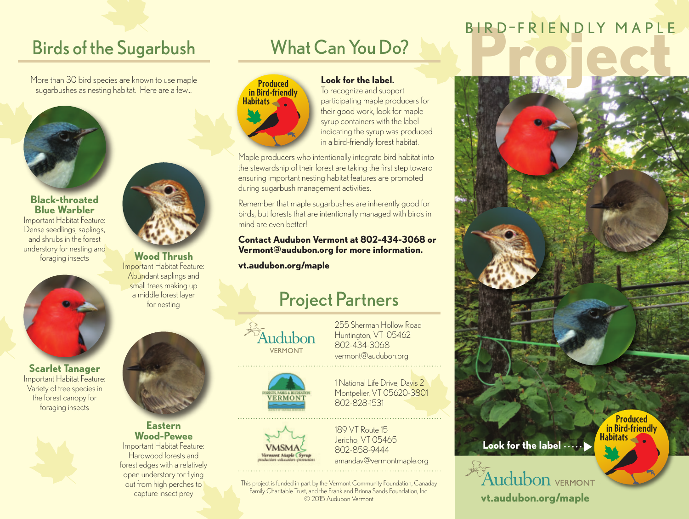### Birds of the Sugarbush

More than 30 bird species are known to use maple sugarbushes as nesting habitat. Here are a few...



### **Black-throated Blue Warbler** Important Habitat Feature: Dense seedlings, saplings,

and shrubs in the forest understory for nesting and foraging insects **Wood Thrush**



**Scarlet Tanager** Important Habitat Feature: Variety of tree species in the forest canopy for foraging insects



Important Habitat Feature: Abundant saplings and small trees making up a middle forest layer for nesting



#### **Eastern Wood-Pewee** Important Habitat Feature:

Hardwood forests and forest edges with a relatively open understory for flying out from high perches to capture insect prey

## What Can You Do?



### **Look for the label.**

To recognize and support participating maple producers for their good work, look for maple syrup containers with the label indicating the syrup was produced in a bird-friendly forest habitat.

Maple producers who intentionally integrate bird habitat into the stewardship of their forest are taking the first step toward ensuring important nesting habitat features are promoted during sugarbush management activities.

Remember that maple sugarbushes are inherently good for birds, but forests that are intentionally managed with birds in mind are even better!

### **Contact Audubon Vermont at 802-434-3068 or Vermont@audubon.org for more information.**

**vt.audubon.org/maple**

## Project Partners



255 Sherman Hollow Road Huntington, VT 05462 802-434-3068 vermont@audubon.org





1 National Life Drive, Davis 2 Montpelier, VT 05620-3801 802-828-1531

189 VT Route 15 Jericho, VT 05465 802-858-9444 amandav@vermontmaple.org

This project is funded in part by the Vermont Community Foundation, Canaday Family Charitable Trust, and the Frank and Brinna Sands Foundation, Inc. © 2015 Audubon Vermont

# **BIRD-FRIENDLY MAPLE**

**Produced in Bird-friendly Habitats Look for the label** Audubon vermont

**vt.audubon.org/maple**